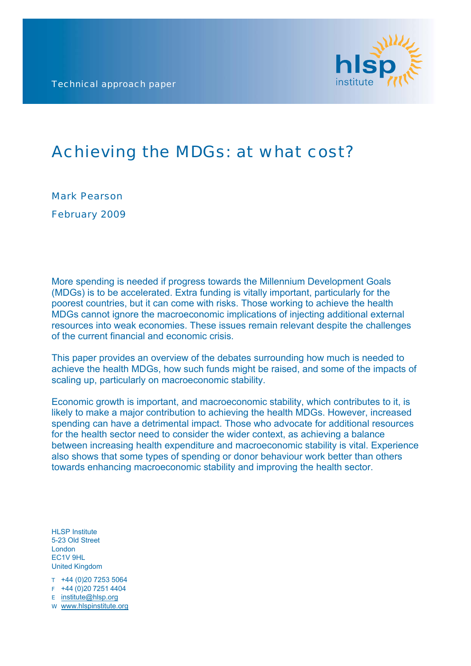Technical approach paper



# Achieving the MDGs: at what cost?

Mark Pearson February 2009

More spending is needed if progress towards the Millennium Development Goals (MDGs) is to be accelerated. Extra funding is vitally important, particularly for the poorest countries, but it can come with risks. Those working to achieve the health MDGs cannot ignore the macroeconomic implications of injecting additional external resources into weak economies. These issues remain relevant despite the challenges of the current financial and economic crisis.

This paper provides an overview of the debates surrounding how much is needed to achieve the health MDGs, how such funds might be raised, and some of the impacts of scaling up, particularly on macroeconomic stability.

Economic growth is important, and macroeconomic stability, which contributes to it, is likely to make a major contribution to achieving the health MDGs. However, increased spending can have a detrimental impact. Those who advocate for additional resources for the health sector need to consider the wider context, as achieving a balance between increasing health expenditure and macroeconomic stability is vital. Experience also shows that some types of spending or donor behaviour work better than others towards enhancing macroeconomic stability and improving the health sector.

HLSP Institute 5-23 Old Street London EC1V 9HL United Kingdom

T +44 (0)20 7253 5064

F +44 (0)20 7251 4404

E [institute@hlsp.org](mailto:institute@hlsp.org)

W [www.hlspinstitute.org](http://www.hlspinstitute.org/)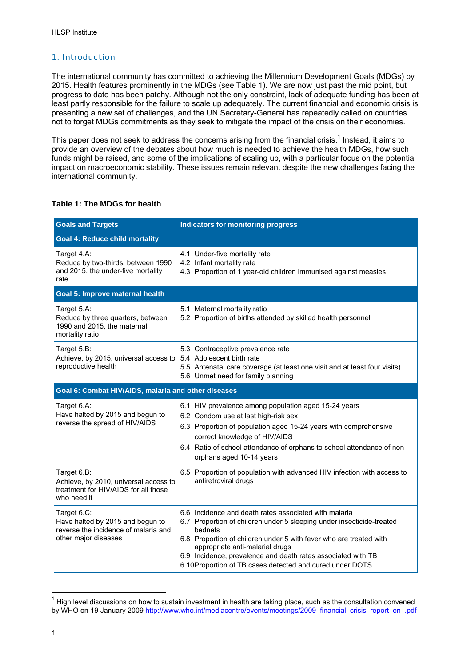# 1. Introduction

The international community has committed to achieving the Millennium Development Goals (MDGs) by 2015. Health features prominently in the MDGs (see Table 1). We are now just past the mid point, but progress to date has been patchy. Although not the only constraint, lack of adequate funding has been at least partly responsible for the failure to scale up adequately. The current financial and economic crisis is presenting a new set of challenges, and the UN Secretary-General has repeatedly called on countries not to forget MDGs commitments as they seek to mitigate the impact of the crisis on their economies.

This paper does not seek to address the concerns arising from the financial crisis.<sup>1</sup> [I](#page-1-0)nstead, it aims to provide an overview of the debates about how much is needed to achieve the health MDGs, how such funds might be raised, and some of the implications of scaling up, with a particular focus on the potential impact on macroeconomic stability. These issues remain relevant despite the new challenges facing the international community.

# **Table 1: The MDGs for health**

| <b>Goals and Targets</b>                                                                                        | <b>Indicators for monitoring progress</b>                                                                                                                                                                                                                                                                                                                                       |  |  |  |
|-----------------------------------------------------------------------------------------------------------------|---------------------------------------------------------------------------------------------------------------------------------------------------------------------------------------------------------------------------------------------------------------------------------------------------------------------------------------------------------------------------------|--|--|--|
| <b>Goal 4: Reduce child mortality</b>                                                                           |                                                                                                                                                                                                                                                                                                                                                                                 |  |  |  |
| Target 4.A:<br>Reduce by two-thirds, between 1990<br>and 2015, the under-five mortality<br>rate                 | 4.1 Under-five mortality rate<br>4.2 Infant mortality rate<br>4.3 Proportion of 1 year-old children immunised against measles                                                                                                                                                                                                                                                   |  |  |  |
| Goal 5: Improve maternal health                                                                                 |                                                                                                                                                                                                                                                                                                                                                                                 |  |  |  |
| Target 5.A:<br>Reduce by three quarters, between<br>1990 and 2015, the maternal<br>mortality ratio              | 5.1 Maternal mortality ratio<br>5.2 Proportion of births attended by skilled health personnel                                                                                                                                                                                                                                                                                   |  |  |  |
| Target 5.B:<br>Achieve, by 2015, universal access to<br>reproductive health                                     | 5.3 Contraceptive prevalence rate<br>5.4 Adolescent birth rate<br>5.5 Antenatal care coverage (at least one visit and at least four visits)<br>5.6 Unmet need for family planning                                                                                                                                                                                               |  |  |  |
| Goal 6: Combat HIV/AIDS, malaria and other diseases                                                             |                                                                                                                                                                                                                                                                                                                                                                                 |  |  |  |
| Target 6.A:<br>Have halted by 2015 and begun to<br>reverse the spread of HIV/AIDS                               | 6.1 HIV prevalence among population aged 15-24 years<br>6.2 Condom use at last high-risk sex<br>6.3 Proportion of population aged 15-24 years with comprehensive<br>correct knowledge of HIV/AIDS<br>6.4 Ratio of school attendance of orphans to school attendance of non-<br>orphans aged 10-14 years                                                                         |  |  |  |
| Target 6.B:<br>Achieve, by 2010, universal access to<br>treatment for HIV/AIDS for all those<br>who need it     | 6.5 Proportion of population with advanced HIV infection with access to<br>antiretroviral drugs                                                                                                                                                                                                                                                                                 |  |  |  |
| Target 6.C:<br>Have halted by 2015 and begun to<br>reverse the incidence of malaria and<br>other major diseases | 6.6 Incidence and death rates associated with malaria<br>6.7 Proportion of children under 5 sleeping under insecticide-treated<br>bednets<br>6.8 Proportion of children under 5 with fever who are treated with<br>appropriate anti-malarial drugs<br>6.9 Incidence, prevalence and death rates associated with TB<br>6.10 Proportion of TB cases detected and cured under DOTS |  |  |  |

<span id="page-1-0"></span> $1$  High level discussions on how to sustain investment in health are taking place, such as the consultation convened by WHO on 19 January 2009 [http://www.who.int/mediacentre/events/meetings/2009\\_financial\\_crisis\\_report\\_en\\_.pdf](http://www.who.int/mediacentre/events/meetings/2009_financial_crisis_report_en_.pdf)

 $\overline{a}$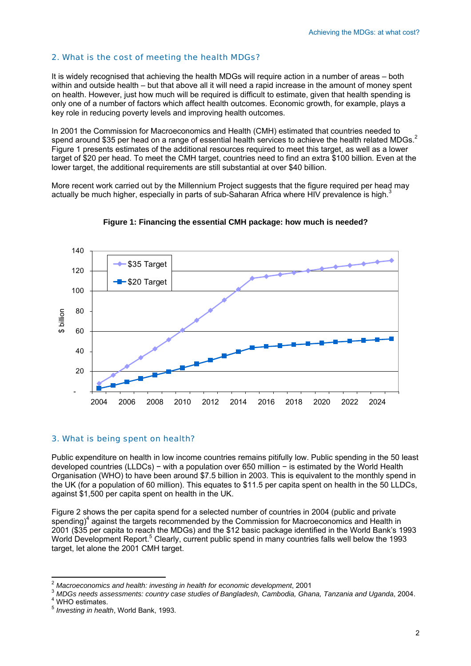# 2. What is the cost of meeting the health MDGs?

It is widely recognised that achieving the health MDGs will require action in a number of areas – both within and outside health – but that above all it will need a rapid increase in the amount of money spent on health. However, just how much will be required is difficult to estimate, given that health spending is only one of a number of factors which affect health outcomes. Economic growth, for example, plays a key role in reducing poverty levels and improving health outcomes.

In 2001 the Commission for Macroeconomics and Health (CMH) estimated that countries needed to spend around \$35 per head on a range of essential health services to achieve the health related MDGs.<sup>[2](#page-2-0)</sup> Figure 1 presents estimates of the additional resources required to meet this target, as well as a lower target of \$20 per head. To meet the CMH target, countries need to find an extra \$100 billion. Even at the lower target, the additional requirements are still substantial at over \$40 billion.

More recent work carried out by the Millennium Project suggests that the figure required per head may actually be much higher, especially in parts of sub-Saharan Africa where HIV prevalence is high.<sup>[3](#page-2-1)</sup>





# 3. What is being spent on health?

Public expenditure on health in low income countries remains pitifully low. Public spending in the 50 least developed countries (LLDCs) − with a population over 650 million − is estimated by the World Health Organisation (WHO) to have been around \$7.5 billion in 2003. This is equivalent to the monthly spend in the UK (for a population of 60 million). This equates to \$11.5 per capita spent on health in the 50 LLDCs, against \$1,500 per capita spent on health in the UK.

Figure 2 shows the per capita spend for a selected number of countries in 2004 (public and private spending)<sup>4</sup>against the targets recommended by the Commission for Macroeconomics and Health in 2001 (\$35 per capita to reach the MDGs) and the \$12 basic package identified in the World Bank's 1993 World Development Report.<sup>[5](#page-2-3)</sup> Clearly, current public spend in many countries falls well below the 1993 target, let alone the 2001 CMH target.

<span id="page-2-0"></span> $2$  Macroeconomics and health: investing in health for economic development, 2001

<span id="page-2-1"></span><sup>&</sup>lt;sup>3</sup> *MDGs needs assessments: country case studies of Bangladesh, Cambodia, Ghana, Tanzania and Uganda, 2004.* 

<span id="page-2-2"></span><sup>&</sup>lt;sup>4</sup> WHO estimates.

<span id="page-2-3"></span><sup>5</sup> *Investing in health*, World Bank, 1993.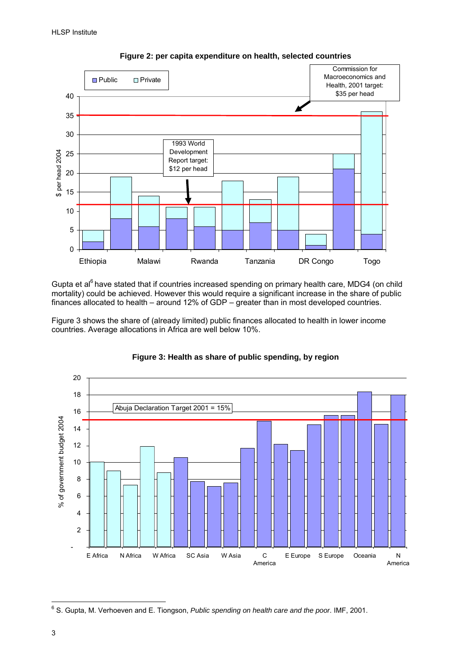



Gupta et al<sup>6</sup> have stated that if countries increased spending on primary health care, MDG4 (on child mortality) could be achieved. However this would require a significant increase in the share of public finances allocated to health – around 12% of GDP – greater than in most developed countries.

Figure 3 shows the share of (already limited) public finances allocated to health in lower income countries. Average allocations in Africa are well below 10%.



# **Figure 3: Health as share of public spending, by region**

<span id="page-3-0"></span> 6 S. Gupta, M. Verhoeven and E. Tiongson, *Public spending on health care and the poor*. IMF, 2001.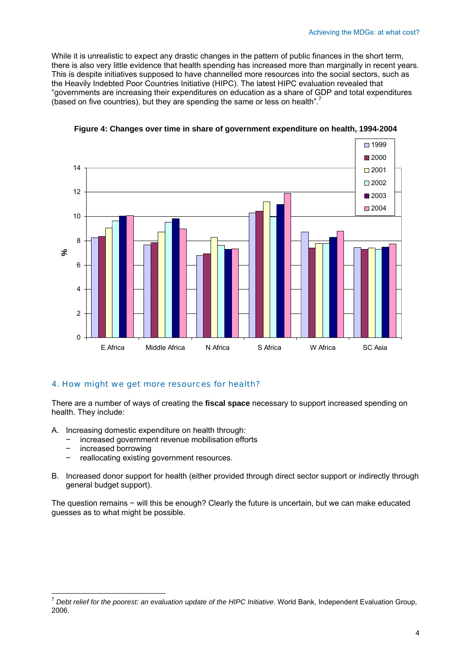While it is unrealistic to expect any drastic changes in the pattern of public finances in the short term, there is also very little evidence that health spending has increased more than marginally in recent years. This is despite initiatives supposed to have channelled more resources into the social sectors, such as the Heavily Indebted Poor Countries Initiative (HIPC). The latest HIPC evaluation revealed that "governments are increasing their expenditures on education as a share of GDP and total expenditures (based on five countries), but they are spending the same or less on health".





# 4. How might we get more resources for health?

There are a number of ways of creating the **fiscal space** necessary to support increased spending on health. They include:

- A. Increasing domestic expenditure on health through:
	- − increased government revenue mobilisation efforts
	- − increased borrowing

 $\overline{a}$ 

- − reallocating existing government resources.
- B. Increased donor support for health (either provided through direct sector support or indirectly through general budget support).

The question remains − will this be enough? Clearly the future is uncertain, but we can make educated guesses as to what might be possible.

<span id="page-4-0"></span><sup>7</sup> *Debt relief for the poorest: an evaluation update of the HIPC Initiative*. World Bank, Independent Evaluation Group, 2006.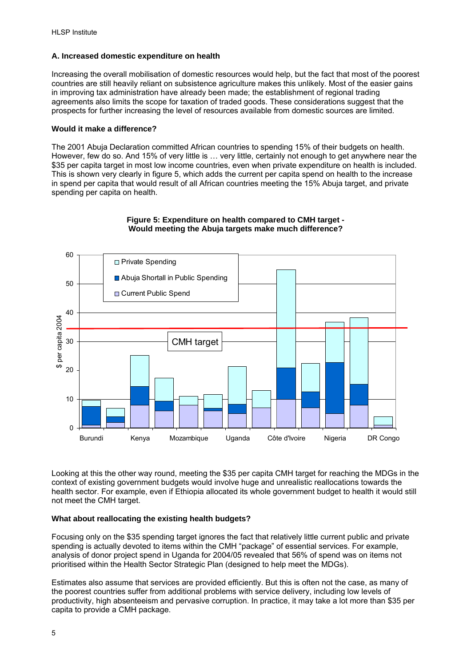### **A. Increased domestic expenditure on health**

Increasing the overall mobilisation of domestic resources would help, but the fact that most of the poorest countries are still heavily reliant on subsistence agriculture makes this unlikely. Most of the easier gains in improving tax administration have already been made; the establishment of regional trading agreements also limits the scope for taxation of traded goods. These considerations suggest that the prospects for further increasing the level of resources available from domestic sources are limited.

#### **Would it make a difference?**

The 2001 Abuja Declaration committed African countries to spending 15% of their budgets on health. However, few do so. And 15% of very little is … very little, certainly not enough to get anywhere near the \$35 per capita target in most low income countries, even when private expenditure on health is included. This is shown very clearly in figure 5, which adds the current per capita spend on health to the increase in spend per capita that would result of all African countries meeting the 15% Abuja target, and private spending per capita on health.



# **Figure 5: Expenditure on health compared to CMH target - Would meeting the Abuja targets make much difference?**

Looking at this the other way round, meeting the \$35 per capita CMH target for reaching the MDGs in the context of existing government budgets would involve huge and unrealistic reallocations towards the health sector. For example, even if Ethiopia allocated its whole government budget to health it would still not meet the CMH target.

#### **What about reallocating the existing health budgets?**

Focusing only on the \$35 spending target ignores the fact that relatively little current public and private spending is actually devoted to items within the CMH "package" of essential services. For example, analysis of donor project spend in Uganda for 2004/05 revealed that 56% of spend was on items not prioritised within the Health Sector Strategic Plan (designed to help meet the MDGs).

Estimates also assume that services are provided efficiently. But this is often not the case, as many of the poorest countries suffer from additional problems with service delivery, including low levels of productivity, high absenteeism and pervasive corruption. In practice, it may take a lot more than \$35 per capita to provide a CMH package.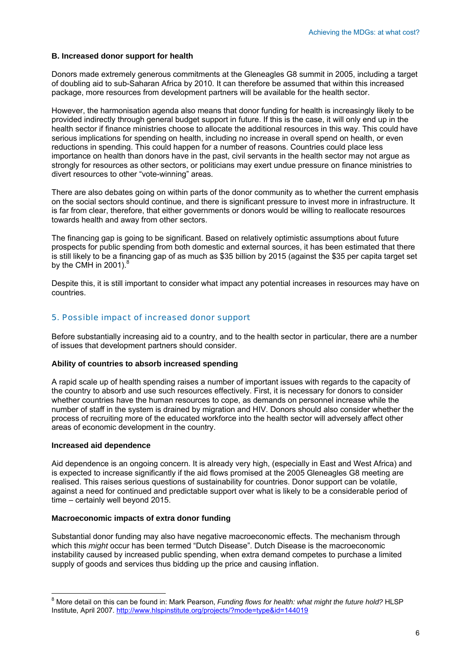#### **B. Increased donor support for health**

Donors made extremely generous commitments at the Gleneagles G8 summit in 2005, including a target of doubling aid to sub-Saharan Africa by 2010. It can therefore be assumed that within this increased package, more resources from development partners will be available for the health sector.

However, the harmonisation agenda also means that donor funding for health is increasingly likely to be provided indirectly through general budget support in future. If this is the case, it will only end up in the health sector if finance ministries choose to allocate the additional resources in this way. This could have serious implications for spending on health, including no increase in overall spend on health, or even reductions in spending. This could happen for a number of reasons. Countries could place less importance on health than donors have in the past, civil servants in the health sector may not argue as strongly for resources as other sectors, or politicians may exert undue pressure on finance ministries to divert resources to other "vote-winning" areas.

There are also debates going on within parts of the donor community as to whether the current emphasis on the social sectors should continue, and there is significant pressure to invest more in infrastructure. It is far from clear, therefore, that either governments or donors would be willing to reallocate resources towards health and away from other sectors.

The financing gap is going to be significant. Based on relatively optimistic assumptions about future prospects for public spending from both domestic and external sources, it has been estimated that there is still likely to be a financing gap of as much as \$35 billion by 2015 (against the \$35 per capita target set by the CMH in 2001). $8$ 

Despite this, it is still important to consider what impact any potential increases in resources may have on countries.

#### 5. Possible impact of increased donor support

Before substantially increasing aid to a country, and to the health sector in particular, there are a number of issues that development partners should consider.

#### **Ability of countries to absorb increased spending**

A rapid scale up of health spending raises a number of important issues with regards to the capacity of the country to absorb and use such resources effectively. First, it is necessary for donors to consider whether countries have the human resources to cope, as demands on personnel increase while the number of staff in the system is drained by migration and HIV. Donors should also consider whether the process of recruiting more of the educated workforce into the health sector will adversely affect other areas of economic development in the country.

#### **Increased aid dependence**

Aid dependence is an ongoing concern. It is already very high, (especially in East and West Africa) and is expected to increase significantly if the aid flows promised at the 2005 Gleneagles G8 meeting are realised. This raises serious questions of sustainability for countries. Donor support can be volatile, against a need for continued and predictable support over what is likely to be a considerable period of time – certainly well beyond 2015.

#### **Macroeconomic impacts of extra donor funding**

Substantial donor funding may also have negative macroeconomic effects. The mechanism through which this *might* occur has been termed "Dutch Disease". Dutch Disease is the macroeconomic instability caused by increased public spending, when extra demand competes to purchase a limited supply of goods and services thus bidding up the price and causing inflation.

<span id="page-6-0"></span> 8 More detail on this can be found in: Mark Pearson, *Funding flows for health: what might the future hold?* HLSP Institute, April 2007.<http://www.hlspinstitute.org/projects/?mode=type&id=144019>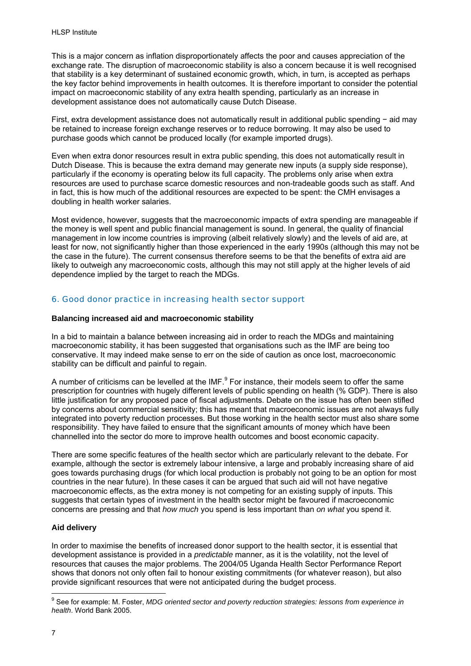This is a major concern as inflation disproportionately affects the poor and causes appreciation of the exchange rate. The disruption of macroeconomic stability is also a concern because it is well recognised that stability is a key determinant of sustained economic growth, which, in turn, is accepted as perhaps the key factor behind improvements in health outcomes. It is therefore important to consider the potential impact on macroeconomic stability of any extra health spending, particularly as an increase in development assistance does not automatically cause Dutch Disease.

First, extra development assistance does not automatically result in additional public spending − aid may be retained to increase foreign exchange reserves or to reduce borrowing. It may also be used to purchase goods which cannot be produced locally (for example imported drugs).

Even when extra donor resources result in extra public spending, this does not automatically result in Dutch Disease. This is because the extra demand may generate new inputs (a supply side response), particularly if the economy is operating below its full capacity. The problems only arise when extra resources are used to purchase scarce domestic resources and non-tradeable goods such as staff. And in fact, this is how much of the additional resources are expected to be spent: the CMH envisages a doubling in health worker salaries.

Most evidence, however, suggests that the macroeconomic impacts of extra spending are manageable if the money is well spent and public financial management is sound. In general, the quality of financial management in low income countries is improving (albeit relatively slowly) and the levels of aid are, at least for now, not significantly higher than those experienced in the early 1990s (although this may not be the case in the future). The current consensus therefore seems to be that the benefits of extra aid are likely to outweigh any macroeconomic costs, although this may not still apply at the higher levels of aid dependence implied by the target to reach the MDGs.

# 6. Good donor practice in increasing health sector support

#### **Balancing increased aid and macroeconomic stability**

In a bid to maintain a balance between increasing aid in order to reach the MDGs and maintaining macroeconomic stability, it has been suggested that organisations such as the IMF are being too conservative. It may indeed make sense to err on the side of caution as once lost, macroeconomic stability can be difficult and painful to regain.

A number of criticisms can be levelled at the IMF. $9$  For instance, their models seem to offer the same prescription for countries with hugely different levels of public spending on health (% GDP). There is also little justification for any proposed pace of fiscal adjustments. Debate on the issue has often been stifled by concerns about commercial sensitivity; this has meant that macroeconomic issues are not always fully integrated into poverty reduction processes. But those working in the health sector must also share some responsibility. They have failed to ensure that the significant amounts of money which have been channelled into the sector do more to improve health outcomes and boost economic capacity.

There are some specific features of the health sector which are particularly relevant to the debate. For example, although the sector is extremely labour intensive, a large and probably increasing share of aid goes towards purchasing drugs (for which local production is probably not going to be an option for most countries in the near future). In these cases it can be argued that such aid will not have negative macroeconomic effects, as the extra money is not competing for an existing supply of inputs. This suggests that certain types of investment in the health sector might be favoured if macroeconomic concerns are pressing and that *how much* you spend is less important than *on what* you spend it.

# **Aid delivery**

In order to maximise the benefits of increased donor support to the health sector, it is essential that development assistance is provided in a *predictable* manner, as it is the volatility, not the level of resources that causes the major problems. The 2004/05 Uganda Health Sector Performance Report shows that donors not only often fail to honour existing commitments (for whatever reason), but also provide significant resources that were not anticipated during the budget process.

<span id="page-7-0"></span> 9 See for example: M. Foster, *MDG oriented sector and poverty reduction strategies: lessons from experience in health*. World Bank 2005.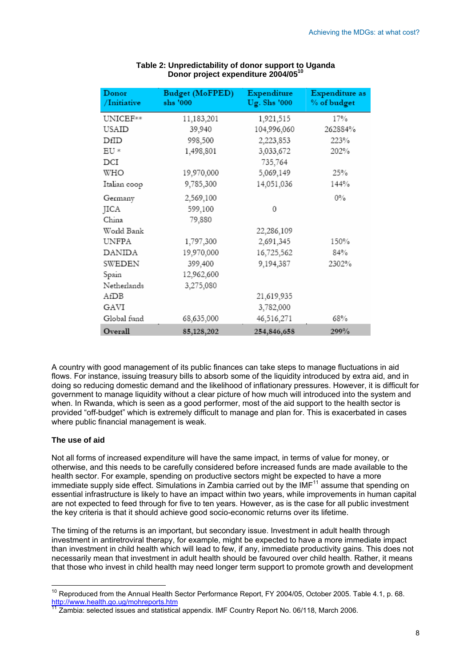| Donor<br>/Initiative | <b>Budget (MoFPED)</b><br>shs '000 | Expenditure<br>Ug. Shs '000 | Expenditure as<br>% of budget |
|----------------------|------------------------------------|-----------------------------|-------------------------------|
| UNICEF**             | 11,183,201                         | 1,921,515                   | 17%                           |
| USAID                | 39,940                             | 104,996,060                 | 262884%                       |
| DfID                 | 998,500                            | 2,223,853                   | 223%                          |
| $EU *$               | 1,498,801                          | 3,033,672                   | 202%                          |
| $_{\rm DCI}$         |                                    | 735,764                     |                               |
| WHO                  | 19,970,000                         | 5,069,149                   | 25%                           |
| Italian coop         | 9,785,300                          | 14,051,036                  | 144%                          |
| Germany              | 2,569,100                          |                             | $0\%$                         |
| JICA                 | 599,100                            | 0                           |                               |
| China                | 79,880                             |                             |                               |
| World Bank           |                                    | 22,286,109                  |                               |
| UNFPA                | 1,797,300                          | 2,691,345                   | 150%                          |
| DANIDA               | 19,970,000                         | 16,725,562                  | 84%                           |
| SWEDEN               | 399,400                            | 9,194,387                   | 2302%                         |
| Spain                | 12,962,600                         |                             |                               |
| Netherlands          | 3,275,080                          |                             |                               |
| AfDB                 |                                    | 21,619,935                  |                               |
| GAVI                 |                                    | 3,782,000                   |                               |
| Global fund          | 68,635,000                         | 46,516,271                  | 68%                           |
| Overall              | 85,128,202                         | 254,846,658                 | 299%                          |

#### **Table 2: Unpredictability of donor support to Uganda Donor project expenditure 2004/0[510](#page-8-0)**

A country with good management of its public finances can take steps to manage fluctuations in aid flows. For instance, issuing treasury bills to absorb some of the liquidity introduced by extra aid, and in doing so reducing domestic demand and the likelihood of inflationary pressures. However, it is difficult for government to manage liquidity without a clear picture of how much will introduced into the system and when. In Rwanda, which is seen as a good performer, most of the aid support to the health sector is provided "off-budget" which is extremely difficult to manage and plan for. This is exacerbated in cases where public financial management is weak.

# **The use of aid**

Not all forms of increased expenditure will have the same impact, in terms of value for money, or otherwise, and this needs to be carefully considered before increased funds are made available to the health sector. For example, spending on productive sectors might be expected to have a more immediate supply side effect. Simulations in Zambia carried out by the  $IMF<sup>11</sup>$  assume that spending on essential infrastructure is likely to have an impact within two years, while improvements in human capital are not expected to feed through for five to ten years. However, as is the case for all public investment the key criteria is that it should achieve good socio-economic returns over its lifetime.

The timing of the returns is an important, but secondary issue. Investment in adult health through investment in antiretroviral therapy, for example, might be expected to have a more immediate impact than investment in child health which will lead to few, if any, immediate productivity gains. This does not necessarily mean that investment in adult health should be favoured over child health. Rather, it means that those who invest in child health may need longer term support to promote growth and development

<span id="page-8-0"></span> $\overline{a}$ <sup>10</sup> Reproduced from the Annual Health Sector Performance Report, FY 2004/05, October 2005. Table 4.1, p. 68. http://www.health.go.ug/mohreports.htm<br><sup>11</sup> Zambia: selected issues and statistical appendix. IMF Country Report No. 06/118, March 2006.

<span id="page-8-1"></span>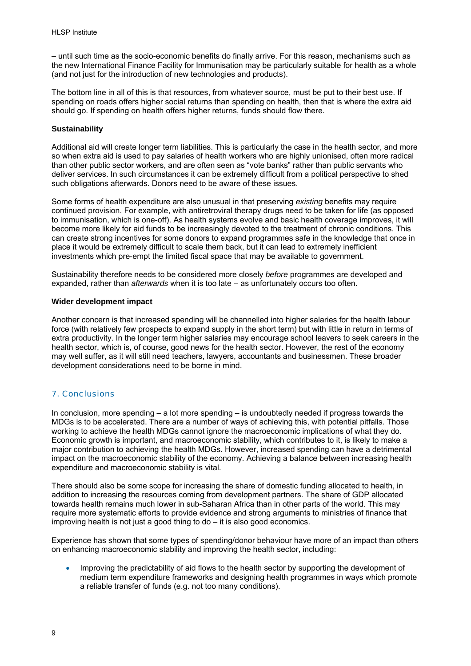– until such time as the socio-economic benefits do finally arrive. For this reason, mechanisms such as the new International Finance Facility for Immunisation may be particularly suitable for health as a whole (and not just for the introduction of new technologies and products).

The bottom line in all of this is that resources, from whatever source, must be put to their best use. If spending on roads offers higher social returns than spending on health, then that is where the extra aid should go. If spending on health offers higher returns, funds should flow there.

#### **Sustainability**

Additional aid will create longer term liabilities. This is particularly the case in the health sector, and more so when extra aid is used to pay salaries of health workers who are highly unionised, often more radical than other public sector workers, and are often seen as "vote banks" rather than public servants who deliver services. In such circumstances it can be extremely difficult from a political perspective to shed such obligations afterwards. Donors need to be aware of these issues.

Some forms of health expenditure are also unusual in that preserving *existing* benefits may require continued provision. For example, with antiretroviral therapy drugs need to be taken for life (as opposed to immunisation, which is one-off). As health systems evolve and basic health coverage improves, it will become more likely for aid funds to be increasingly devoted to the treatment of chronic conditions. This can create strong incentives for some donors to expand programmes safe in the knowledge that once in place it would be extremely difficult to scale them back, but it can lead to extremely inefficient investments which pre-empt the limited fiscal space that may be available to government.

Sustainability therefore needs to be considered more closely *before* programmes are developed and expanded, rather than *afterwards* when it is too late − as unfortunately occurs too often.

#### **Wider development impact**

Another concern is that increased spending will be channelled into higher salaries for the health labour force (with relatively few prospects to expand supply in the short term) but with little in return in terms of extra productivity. In the longer term higher salaries may encourage school leavers to seek careers in the health sector, which is, of course, good news for the health sector. However, the rest of the economy may well suffer, as it will still need teachers, lawyers, accountants and businessmen. These broader development considerations need to be borne in mind.

# 7. Conclusions

In conclusion, more spending  $-$  a lot more spending  $-$  is undoubtedly needed if progress towards the MDGs is to be accelerated. There are a number of ways of achieving this, with potential pitfalls. Those working to achieve the health MDGs cannot ignore the macroeconomic implications of what they do. Economic growth is important, and macroeconomic stability, which contributes to it, is likely to make a major contribution to achieving the health MDGs. However, increased spending can have a detrimental impact on the macroeconomic stability of the economy. Achieving a balance between increasing health expenditure and macroeconomic stability is vital.

There should also be some scope for increasing the share of domestic funding allocated to health, in addition to increasing the resources coming from development partners. The share of GDP allocated towards health remains much lower in sub-Saharan Africa than in other parts of the world. This may require more systematic efforts to provide evidence and strong arguments to ministries of finance that improving health is not just a good thing to do – it is also good economics.

Experience has shown that some types of spending/donor behaviour have more of an impact than others on enhancing macroeconomic stability and improving the health sector, including:

• Improving the predictability of aid flows to the health sector by supporting the development of medium term expenditure frameworks and designing health programmes in ways which promote a reliable transfer of funds (e.g. not too many conditions).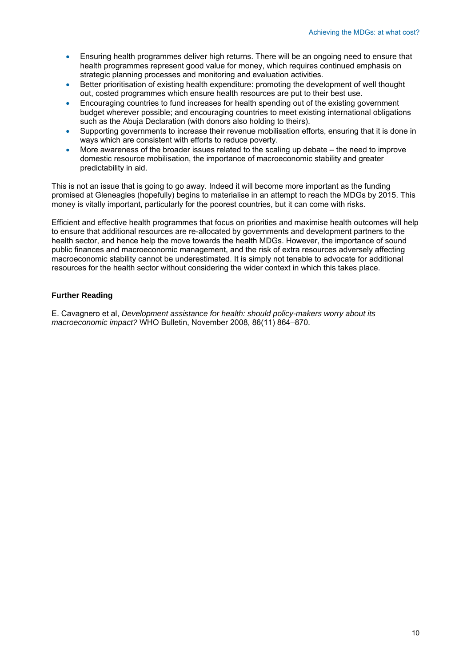- Ensuring health programmes deliver high returns. There will be an ongoing need to ensure that health programmes represent good value for money, which requires continued emphasis on strategic planning processes and monitoring and evaluation activities.
- Better prioritisation of existing health expenditure: promoting the development of well thought out, costed programmes which ensure health resources are put to their best use.
- Encouraging countries to fund increases for health spending out of the existing government budget wherever possible; and encouraging countries to meet existing international obligations such as the Abuja Declaration (with donors also holding to theirs).
- Supporting governments to increase their revenue mobilisation efforts, ensuring that it is done in ways which are consistent with efforts to reduce poverty.
- More awareness of the broader issues related to the scaling up debate the need to improve domestic resource mobilisation, the importance of macroeconomic stability and greater predictability in aid.

This is not an issue that is going to go away. Indeed it will become more important as the funding promised at Gleneagles (hopefully) begins to materialise in an attempt to reach the MDGs by 2015. This money is vitally important, particularly for the poorest countries, but it can come with risks.

Efficient and effective health programmes that focus on priorities and maximise health outcomes will help to ensure that additional resources are re-allocated by governments and development partners to the health sector, and hence help the move towards the health MDGs. However, the importance of sound public finances and macroeconomic management, and the risk of extra resources adversely affecting macroeconomic stability cannot be underestimated. It is simply not tenable to advocate for additional resources for the health sector without considering the wider context in which this takes place.

# **Further Reading**

E. Cavagnero et al, *Development assistance for health: should policy-makers worry about its macroeconomic impact?* WHO Bulletin, November 2008, 86(11) 864–870.